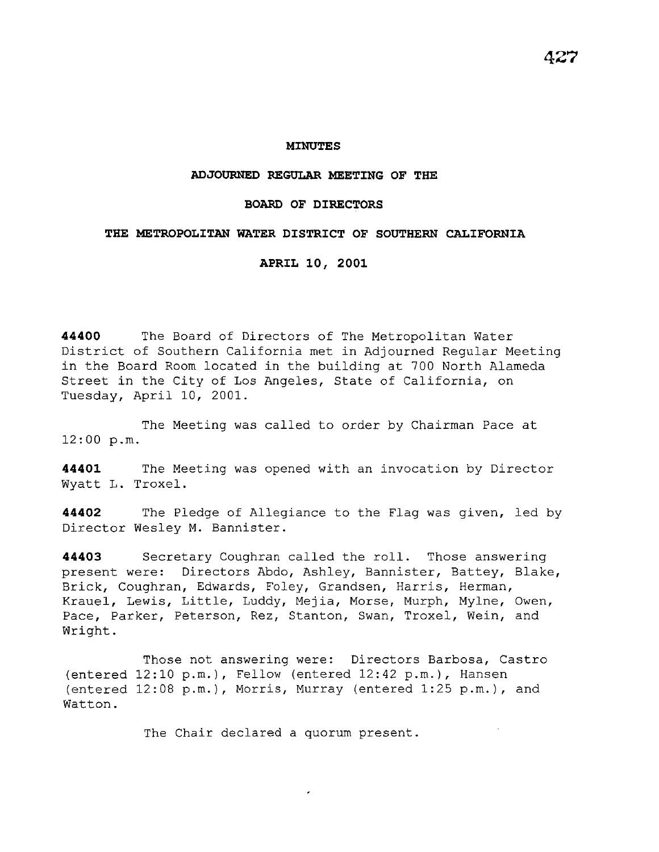#### **MINUTES**

## **ADJOURNED REGULAR MEETING OF THE**

### **BOARD OF DIRECTORS**

### **THE METROPOLITAN WATER DISTRICT OF SOUTHERN CALIFORNIA**

**APRIL 10, 2001** 

**44400** The Board of Directors of The Metropolitan Water District of Southern California met in Adjourned Regular Meeting in the Board Room located in the building at 700 North Alameda Street in the City of Los Angeles, State of California, on Tuesday, April 10, 2001.

The Meeting was called to order by Chairman Pace at 12:00 p.m.

**44401** The Meeting was opened with an invocation by Director Wyatt L. Troxel.

**44402** The Pledge of Allegiance to the Flag was given, led by Director Wesley M. Bannister.

**44403** Secretary Coughran called the roll. Those answering present were: Directors Abdo, Ashley, Bannister, Battey, Blake, Brick, Coughran, Edwards, Foley, Grandsen, Harris, Herman, Krauel, Lewis, Little, Luddy, Mejia, Morse, Murph, Mylne, Owen, Pace, Parker, Peterson, Rez, Stanton, Swan, Troxel, Wein, and Wright.

Those not answering were: Directors Barbosa, Castro (entered 12:10 p.m.), Fellow (entered 12:42 p.m.), Hansen (entered 12:08 p.m.), Morris, Murray (entered 1:25 p.m.), and Watton.

The Chair declared a quorum present.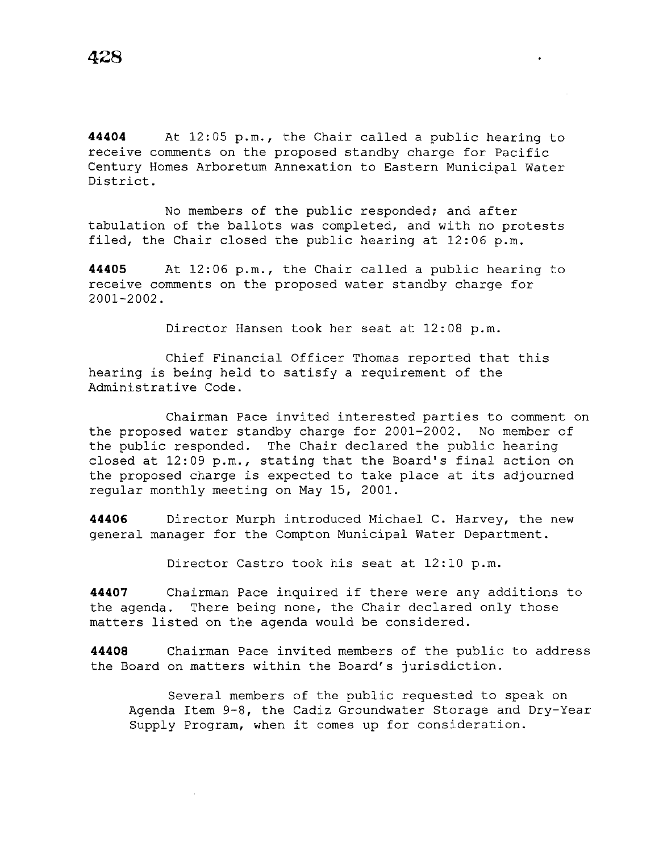**44404** At 12:05 p.m., the Chair called a public hearing to receive comments on the proposed standby charge for Pacific Century Homes Arboretum Annexation to Eastern Municipal Water District.

No members of the public responded; and after tabulation of the ballots was completed, and with no protests filed, the Chair closed the public hearing at 12:06 p.m.

**44405** At 12:06 p.m., the Chair called a public hearing to receive comments on the proposed water standby charge for 2001-2002.

Director Hansen took her seat at 12:08 p.m.

Chief Financial Officer Thomas reported that this hearing is being held to satisfy a requirement of the Administrative Code.

Chairman Pace invited interested parties to comment on the proposed water standby charge for 2001-2002. No member of the public responded. The Chair declared the public hearing closed at 12:09 p.m., stating that the Board's final action on the proposed charge is expected to take place at its adjourned regular monthly meeting on May 15, 2001.

**44406** Director Murph introduced Michael C. Harvey, the new general manager for the Compton Municipal Water Department.

Director Castro took his seat at 12:10 p.m.

**44407** Chairman Pace inquired if there were any additions to the agenda. There being none, the Chair declared only those matters listed on the agenda would be considered.

**44408** Chairman Pace invited members of the public to address the Board on matters within the Board's jurisdiction.

Several members of the public requested to speak on Agenda Item 9-8, the Cadiz Groundwater Storage and Dry-Year Supply Program, when it comes up for consideration.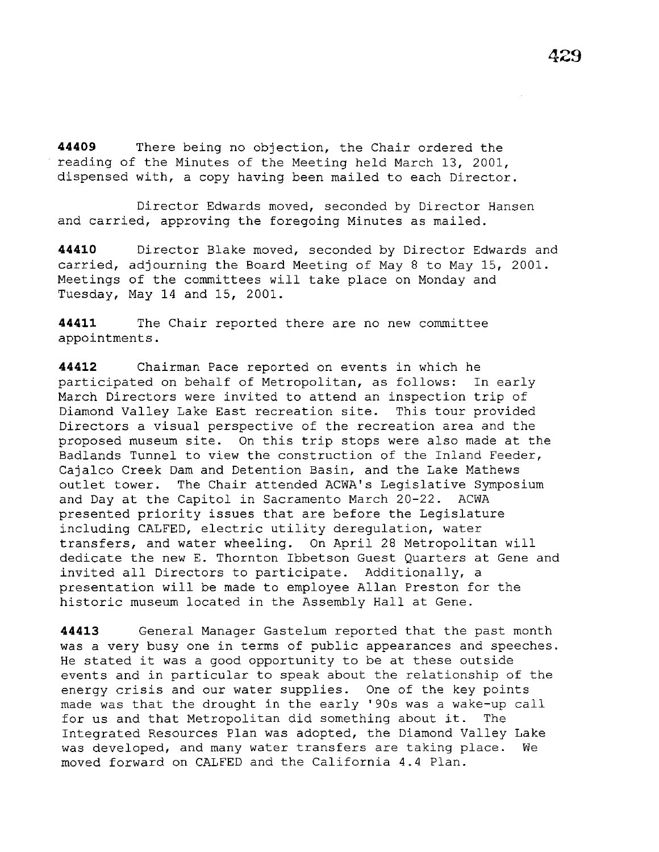**44409** There being no objection, the Chair ordered the reading of the Minutes of the Meeting held March 13, 2001, dispensed with, a copy having been mailed to each Director.

Director Edwards moved, seconded by Director Hansen and carried, approving the foregoing Minutes as mailed.

**44410** Director Blake moved, seconded by Director Edwards and carried, adjourning the Board Meeting of May 8 to May 15, 2001. Meetings of the committees will take place on Monday and Tuesday, May 14 and 15, 2001.

**44411** The Chair reported there are no new committee appointments.

**44412** Chairman Pace reported on events in which he participated on behalf of Metropolitan, as follows: In early March Directors were invited to attend an inspection trip of Diamond Valley Lake East recreation site. This tour provided Directors a visual perspective of the recreation area and the proposed museum site. On this trip stops were also made at the Badlands Tunnel to view the construction of the Inland Feeder, Cajalco Creek Dam and Detention Basin, and the Lake Mathews outlet tower. The Chair attended ACWA's Legislative Symposium and Day at the Capitol in Sacramento March 20-22. ACWA presented priority issues that are before the Legislature including CALFED, electric utility deregulation, water transfers, and water wheeling. On April 28 Metropolitan will dedicate the new E. Thornton Ibbetson Guest Quarters at Gene and invited all Directors to participate. Additionally, a presentation will be made to employee Allan Preston for the historic museum located in the Assembly Hall at Gene.

**44413** General Manager Gastelum reported that the past month was a very busy one in terms of public appearances and speeches. He stated it was a good opportunity to be at these outside events and in particular to speak about the relationship of the energy crisis and our water supplies. One of the key points made was that the drought in the early '90s was a wake-up call for us and that Metropolitan did something about it. The Integrated Resources Plan was adopted, the Diamond Valley Lake was developed, and many water transfers are taking place. We moved forward on CALFED and the California 4.4 Plan.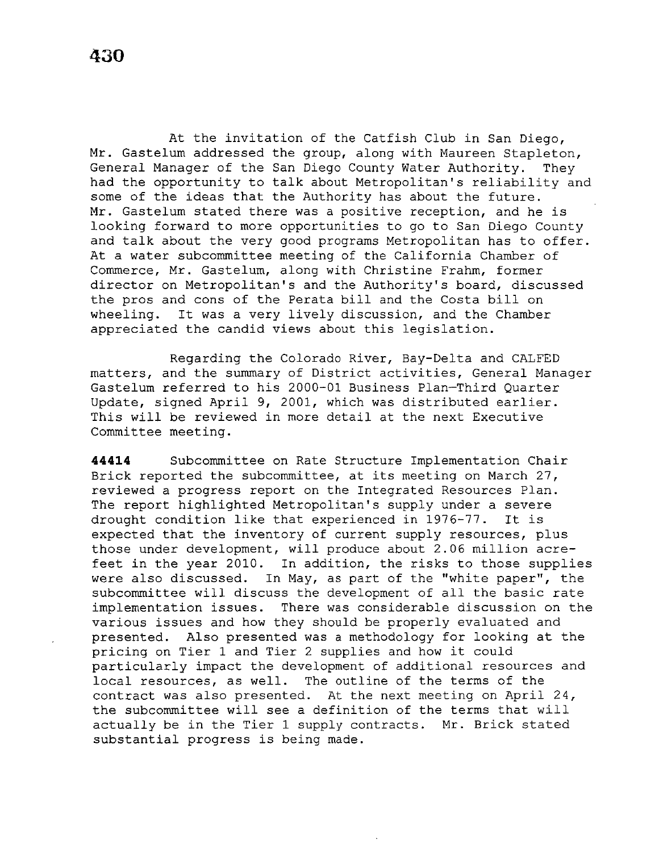At the invitation of the Catfish Club in San Diego, Mr. Gastelum addressed the group, along with Maureen Stapleton, General Manager of the San Diego County Water Authority. They had the opportunity to talk about Metropolitan's reliability and some of the ideas that the Authority has about the future. Mr. Gastelum stated there was a positive reception, and he is looking forward to more opportunities to go to San Diego County and talk about the very good programs Metropolitan has to offer. At a water subcommittee meeting of the California Chamber of Commerce, Mr. Gastelum, along with Christine Frahm, former director on Metropolitan's and the Authority's board, discussed the pros and cons of the Perata bill and the Costa bill on<br>wheeling. It was a very lively discussion, and the Chamber It was a very lively discussion, and the Chamber appreciated the candid views about this legislation.

Regarding the Colorado River, Bay-Delta and CALFED matters, and the summary of District activities, General Manager Gastelum referred to his 2000-01 Business Plan-Third Quarter Update, signed April 9, 2001, which was distributed earlier. This will be reviewed in more detail at the next Executive Committee meeting.

**44414** Subcommittee on Rate Structure Implementation Chair Brick reported the subcommittee, at its meeting on March 27, reviewed a progress report on the Integrated Resources Plan. The report highlighted Metropolitan's supply under a severe drought condition like that experienced in 1976-77. It is expected that the inventory of current supply resources, plus those under development, will produce about 2.06 million acrefeet in the year 2010. In addition, the risks to those supplies were also discussed. In May, as part of the ''white paper'', the subcommittee will discuss the development of all the basic rate implementation issues. There was considerable discussion on the various issues and how they should be properly evaluated and presented. Also presented was a methodology for looking at the pricing on Tier 1 and Tier 2 supplies and how it could particularly impact the development of additional resources and local resources, as well. The outline of the terms of the contract was also presented. At the next meeting on April 24, the subcommittee will see a definition of the terms that will actually be in the Tier 1 supply contracts. Mr. Brick stated substantial progress is being made.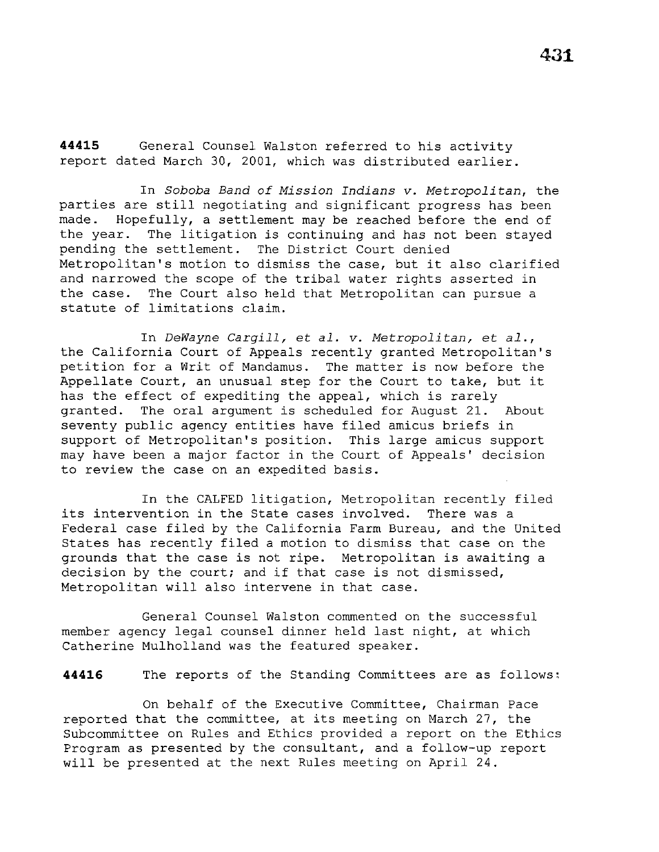**44415** General Counsel Walston referred to his activity report dated March 30, 2001, which was distributed earlier.

In *Soboba Band of Mission Indians v. Metropolitan,* the parties are still negotiating and significant progress has been<br>made. Hopefully, a settlement may be reached before the end of Hopefully, a settlement may be reached before the end of the year. The litigation is continuing and has not been stayed pending the settlement. The District Court denied Metropolitan's motion to dismiss the case, but it also clarified and narrowed the scope of the tribal water rights asserted in the case. The Court also held that Metropolitan can pursue a statute of limitations claim.

In *DeWayne Cargill,* et *al. v. Metropolitan,* et *al.,*  the California Court of Appeals recently granted Metropolitan's petition for a Writ of Mandamus. The matter is now before the Appellate Court, an unusual step for the Court to take, but it has the effect of expediting the appeal, which is rarely granted. The oral argument *is* scheduled for August 21. About seventy public agency entities have filed amicus briefs in support of Metropolitan's position. This large amicus support may have been a major factor in the Court of Appeals' decision to review the case on an expedited basis.

In the CALFED litigation, Metropolitan recently filed its intervention in the State cases involved. There was a Federal case filed by the California Farm Bureau, and the United States has recently filed a motion to dismiss that case on the grounds that the case *is* not ripe. Metropolitan *is* awaiting a decision by the court; and if that case is not dismissed, Metropolitan will also intervene in that case.

General Counsel Walston commented on the successful member agency legal counsel dinner held last night, at which Catherine Mulholland was the featured speaker.

44416 The reports of the Standing Committees are as follows:

On behalf of the Executive Committee, Chairman Pace reported that the committee, at its meeting on March 27, the Subcommittee on Rules and Ethics provided a report on the Ethics Program as presented by the consultant, and a follow-up report will be presented at the next Rules meeting on April 24.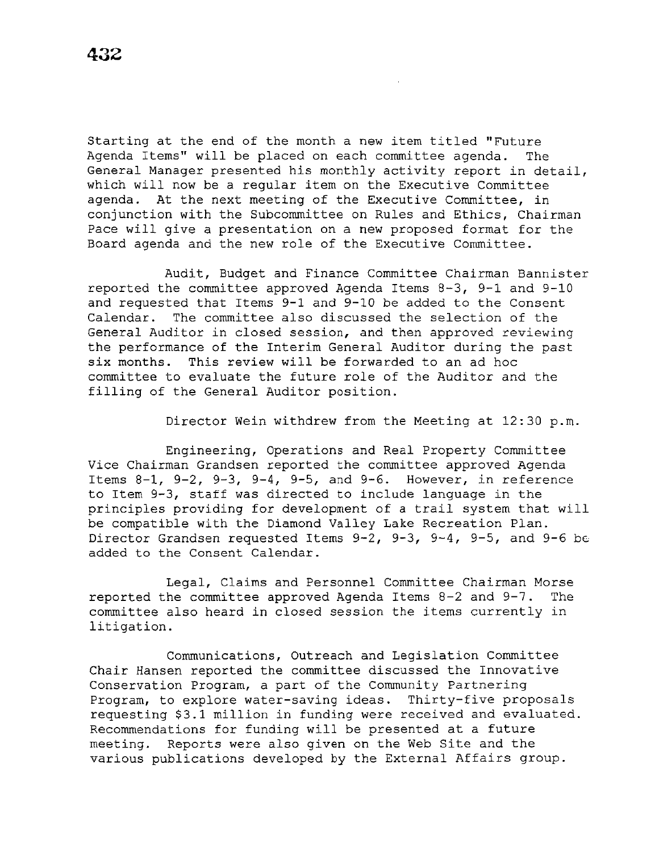Starting at the end of the month a new item titled "Future Agenda Items" will be placed on each committee agenda. The General Manager presented his monthly activity report in detail, which will now be a regular item on the Executive Committee agenda. At the next meeting of the Executive Committee, in conjunction with the Subcommittee on Rules and Ethics, Chairman Pace will give a presentation on a new proposed format for the Board agenda and the new role of the Executive Committee.

Audit, Budget and Finance Committee Chairman Bannister reported the committee approved Agenda Items 8-3, 9-1 and 9-10 and requested that Items 9-1 and 9-10 be added to the Consent Calendar. The committee also discussed the selection of the General Auditor in closed session, and then approved reviewing the performance of the Interim General Auditor during the past six months. This review will be forwarded to an ad hoc committee to evaluate the future role of the Auditor and the filling of the General Auditor position.

Director Wein withdrew from the Meeting at 12:30 p.m.

Engineering, Operations and Real Property Committee Vice Chairman Grandsen reported the committee approved Agenda Items 8-1, 9-2, 9-3, 9-4, 9-5, and 9-6. However, in reference to Item 9-3, staff was directed to include language in the principles providing for development of a trail system that will be compatible with the Diamond Valley Lake Recreation Plan. Director Grandsen requested Items 9-2, 9-3, 9-4, 9-5, and 9-6 be added to the Consent Calendar.

Legal, Claims and Personnel Committee Chairman Morse reported the committee approved Agenda Items 8-2 and 9-7. The committee also heard in closed session the items currently in litigation.

Communications, Outreach and Legislation Committee Chair Hansen reported the committee discussed the Innovative Conservation Program, a part of the Community Partnering Program, to explore water-saving ideas. Thirty-five proposals requesting \$3.1 million in funding were received and evaluated. Recommendations for funding will be presented at a future meeting. Reports were also given on the Web Site and the various publications developed by the External Affairs group.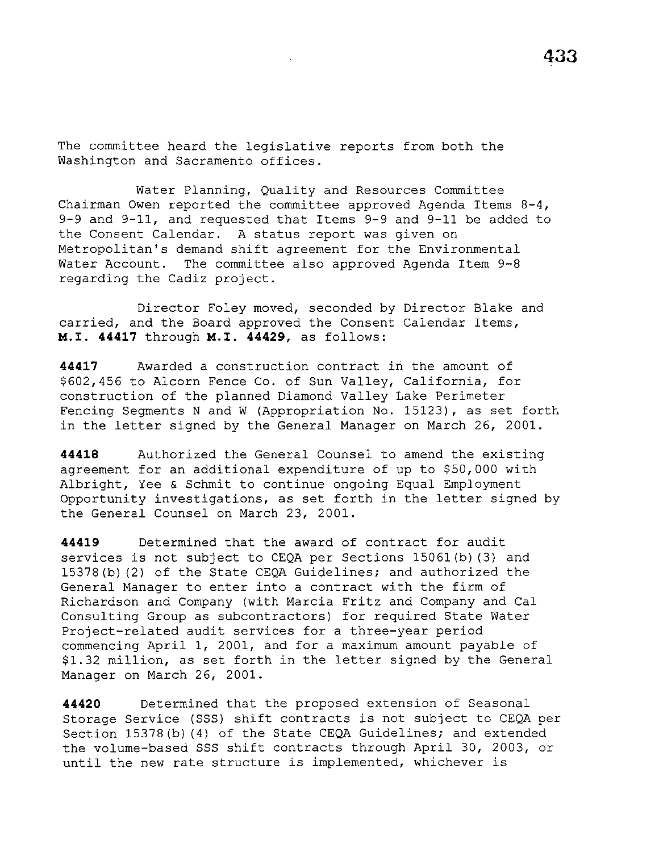The committee heard the legislative reports from both the Washington and Sacramento offices.

Water Planning, Quality and Resources Committee Chairman Owen reported the committee approved Agenda Items 8-4, 9-9 and 9-11, and requested that Items 9-9 and 9-11 be added to the Consent Calendar. A status report was given on Metropolitan's demand shift agreement for the Environmental Water Account. The committee also approved Agenda Item 9-8 regarding the Cadiz project.

Director Foley moved, seconded by Director Blake and carried, and the Board approved the Consent Calendar Items, M.I. **44417** through M.I. **44429,** as follows:

**44417** Awarded a construction contract in the amount of \$602,456 to Alcorn Fence Co. of Sun Valley, California, for construction of the planned Diamond Valley Lake Perimeter Fencing Segments N and W (Appropriation No. 15123), as set forth in the letter signed by the General Manager on March 26, 2001.

**44418** Authorized the General Counsel to amend the existing agreement for an additional expenditure of up to \$50,000 with Albright, Yee & Schmit to continue ongoing Equal Employment Opportunity investigations, as set forth in the letter signed by the General Counsel on March 23, 2001.

**44419** Determined that the award of contract for audit services is not subject to CEQA per Sections 15061(b) (3) and 15378(b) (2) of the State CEQA Guidelines; and authorized the General Manager to enter into a contract with the firm of Richardson and Company (with Marcia Fritz and Company and Cal Consulting Group as subcontractors) for required State Water Project-related audit services for a three-year period commencing April 1, 2001, and for a maximum amount payable of \$1.32 million, as set forth in the letter signed by the General Manager on March 26, 2001.

**44420** Determined that the proposed extension of Seasonal Storage Service (SSS) shift contracts is not subject to CEQA per Section 15378(b) (4) of the State CEQA Guidelines; and extended the volume-based SSS shift contracts through April 30, 2003, or until the new rate structure is implemented, whichever is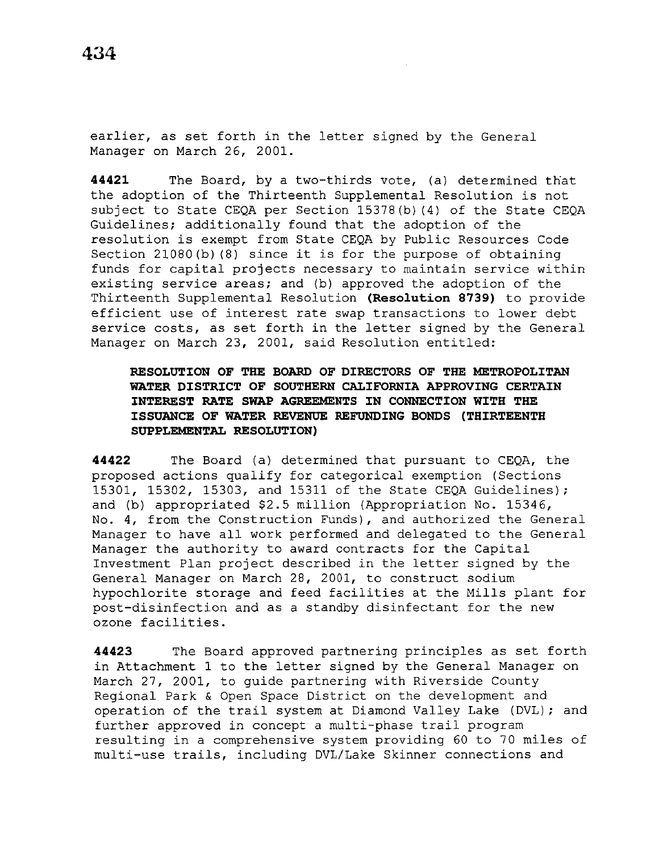earlier, as set forth in the letter signed by the General Manager on March 26, 2001.

**44421** The Board, by a two-thirds vote, (a) determined that the adoption of the Thirteenth Supplemental Resolution is not subject to State CEQA per Section 15378(b) (4) of the State CEQA Guidelines; additionally found that the adoption of the resolution is exempt from State CEQA by Public Resources Code Section 21080(b) (8) since it is for the purpose of obtaining funds for capital projects necessary to maintain service within existing service areas; and (b) approved the adoption of the Thirteenth Supplemental Resolution **(Resolution 8739)** to provide efficient use of interest rate swap transactions to lower debt service costs, as set forth in the letter signed by the General Manager on March 23, 2001, said Resolution entitled:

# **RESOLUTION OF THE BOARD OF DIRECTORS OF THE METROPOLITAN WATER DISTRICT OF SOUTHERN CALIFORNIA APPROVING CERTAIN INTEREST RATE SWAP AGREEMENTS IN CONNECTION WITH THE ISSUANCE OF WATER REVENUE REFUNDING BONDS (THIRTEENTH SUPPLEMENTAL RESOLUTION)**

**44422** The Board (a) determined that pursuant to CEQA, the proposed actions qualify for categorical exemption (Sections 15301, 15302, 15303, and 15311 of the State CEQA Guidelines); and (b) appropriated \$2.5 million (Appropriation No. 15346, No. 4, from the Construction Funds), and authorized the General Manager to have all work performed and delegated to the General Manager the authority to award contracts for the Capital Investment Plan project described in the letter signed by the General Manager on March 28, 2001, to construct sodium hypochlorite storage and feed facilities at the Mills plant for post-disinfection and as a standby disinfectant for the new ozone facilities.

**44423** The Board approved partnering principles as set forth in Attachment 1 to the letter signed by the General Manager on March 27, 2001, to guide partnering with Riverside County Regional Park & Open Space District on the development and operation of the trail system at Diamond Valley Lake (DVL); and further approved in concept a multi-phase trail program resulting in a comprehensive system providing 60 to 70 miles of multi-use trails, including DVL/Lake Skinner connections and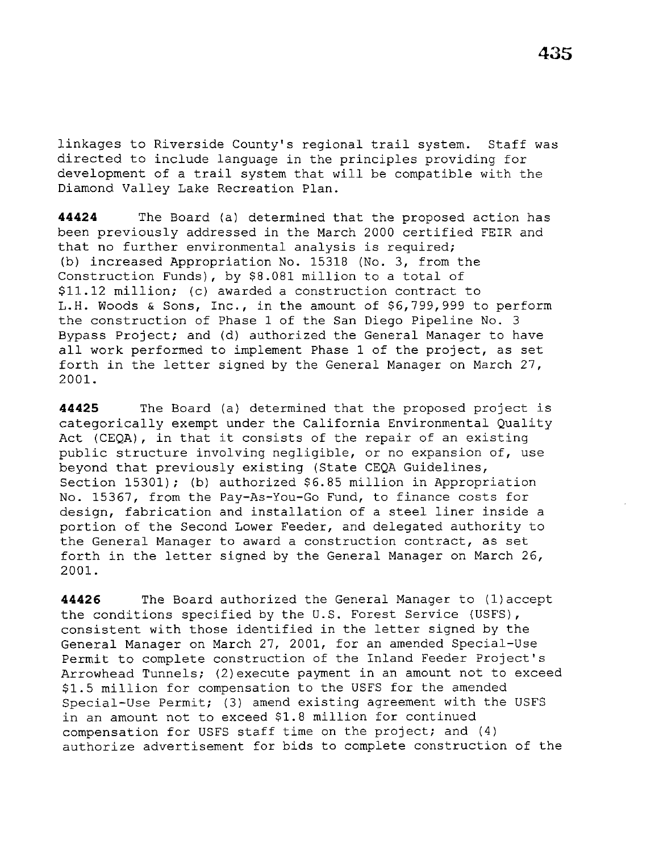linkages to Riverside County's regional trail system. Staff was directed to include language in the principles providing for development of a trail system that will be compatible with the Diamond Valley Lake Recreation Plan.

**44424** The Board (a) determined that the proposed action has been previously addressed in the March 2000 certified FEIR and that no further environmental analysis is required; (b) increased Appropriation No. 15318 (No. 3, from the Construction Funds), by \$8.081 million to a total of \$11.12 million; (c) awarded a construction contract to L.H. Woods & Sons, Inc., in the amount of \$6,799,999 to perform the construction of Phase 1 of the San Diego Pipeline No. 3 Bypass Project; and (d) authorized the General Manager to have all work performed to implement Phase 1 of the project, as set forth in the letter signed by the General Manager on March 27, 2001.

**44425** The Board (a) determined that the proposed project is categorically exempt under the California Environmental Quality Act (CEQA) , in that it consists of the repair of an existing public structure involving negligible, or no expansion of, use beyond that previously existing (State CEQA Guidelines, Section 15301); (b) authorized \$6.85 million in Appropriation No. 15367, from the Pay-As-You-Go Fund, to finance costs for design, fabrication and installation of a steel liner inside a portion of the Second Lower Feeder, and delegated authority to the General Manager to award a construction contract, as set forth in the letter signed by the General Manager on March 26, 2001.

**44426** The Board authorized the General Manager to (1)accept the conditions specified by the U.S. Forest Service (USFS), consistent with those identified in the letter signed by the General Manager on March 27, 2001, for an amended Special-Use Permit to complete construction of the Inland Feeder Project's Arrowhead Tunnels; (2)execute payment in an amount not to exceed \$1.5 million for compensation to the USFS for the amended Special-Use Permit; (3) amend existing agreement with the USFS in an amount not to exceed \$1.8 million for continued compensation for USFS staff time on the project; and (4) authorize advertisement for bids to complete construction of the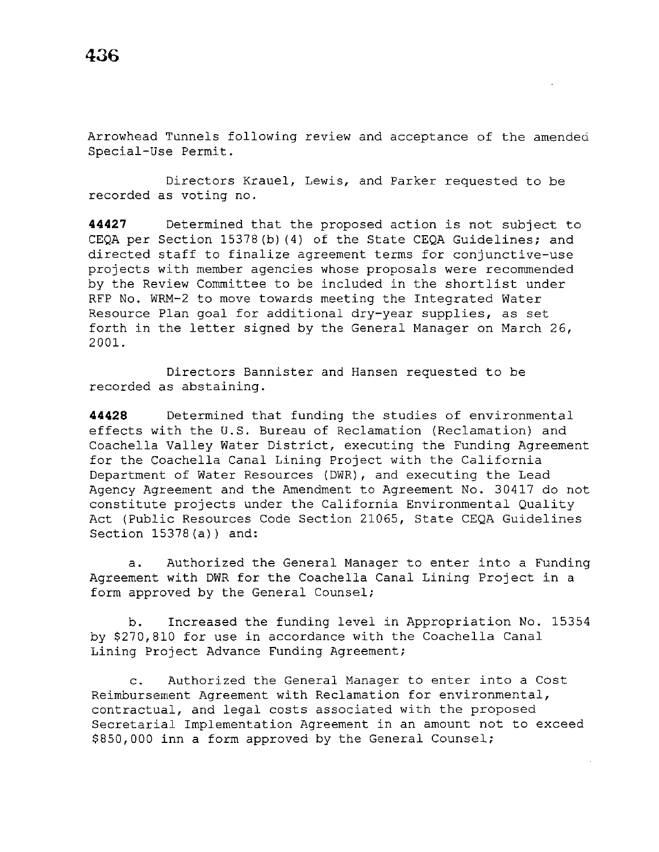Arrowhead Tunnels following review and acceptance of the amended Special-Use Permit.

Directors Krauel, Lewis, and Parker requested to be recorded as voting no.

**44427** Determined that the proposed action is not subject to CEQA per Section 15378(b) (4) of the State CEQA Guidelines; and directed staff to finalize agreement terms for conjunctive-use projects with member agencies whose proposals were recommended by the Review Committee to be included in the shortlist under RFP No. WRM-2 to move towards meeting the Integrated Water Resource Plan goal for additional dry-year supplies, as set forth in the letter signed by the General Manager on March 26, 2001.

Directors Bannister and Hansen requested to be recorded as abstaining.

**44428** Determined that funding the studies of environmental effects with the U.S. Bureau of Reclamation (Reclamation) and Coachella Valley Water District, executing the Funding Agreement for the Coachella Canal Lining Project with the California Department of Water Resources (DWR), and executing the Lead Agency Agreement and the Amendment to Agreement No. 30417 do not constitute projects under the California Environmental Quality Act (Public Resources Code Section 21065, State CEQA Guidelines Section 15378(a)) and:

a. Authorized the General Manager to enter into a Funding Agreement with DWR for the Coachella Canal Lining Project in a form approved by the General Counsel;

b. Increased the funding level in Appropriation No. 15354 by \$270,810 for use in accordance with the Coachella Canal Lining Project Advance Funding Agreement;

c. Authorized the General Manager to enter into a Cost Reimbursement Agreement with Reclamation for environmental, contractual, and legal costs associated with the proposed Secretarial Implementation Agreement in an amount not to exceed \$850,000 inn a form approved by the General Counsel;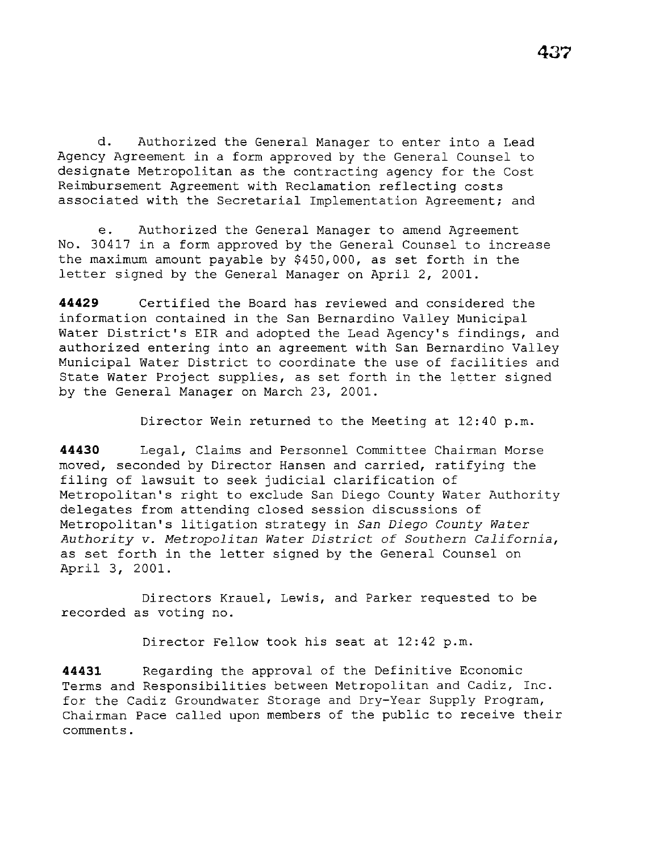d. Authorized the General Manager to enter into a Lead Agency Agreement in a form approved by the General Counsel to designate Metropolitan as the contracting agency for the Cost Reimbursement Agreement with Reclamation reflecting costs associated with the Secretarial Implementation Agreement; and

e. Authorized the General Manager to amend Agreement No. 30417 in a form approved by the General Counsel to increase the maximum amount payable by \$450,000, as set forth in the letter signed by the General Manager on April 2, 2001.

**44429** Certified the Board has reviewed and considered the information contained in the San Bernardino Valley Municipal Water District's EIR and adopted the Lead Agency's findings, and authorized entering into an agreement with San Bernardino Valley Municipal Water District to coordinate the use of facilities and State Water Project supplies, as set forth in the letter signed by the General Manager on March 23, 2001.

Director Wein returned to the Meeting at 12:40 p.m.

**44430** Legal, Claims and Personnel Committee Chairman Morse moved, seconded by Director Hansen and carried, ratifying the filing of lawsuit to seek judicial clarification of Metropolitan's right to exclude San Diego County Water Authority delegates from attending closed session discussions of Metropolitan's litigation strategy in *San Diego County Water Authority v. Metropolitan Water District of Southern California,*  as set forth in the letter signed by the General Counsel on April 3, 2001.

Directors Krauel, Lewis, and Parker requested to be recorded as voting no.

Director Fellow took his seat at 12:42 p.m.

**44431** Regarding the approval of the Definitive Economic Terms and Responsibilities between Metropolitan and Cadiz, Inc. for the Cadiz Groundwater Storage and Dry-Year Supply Program, Chairman Pace called upon members of the public to receive their comments.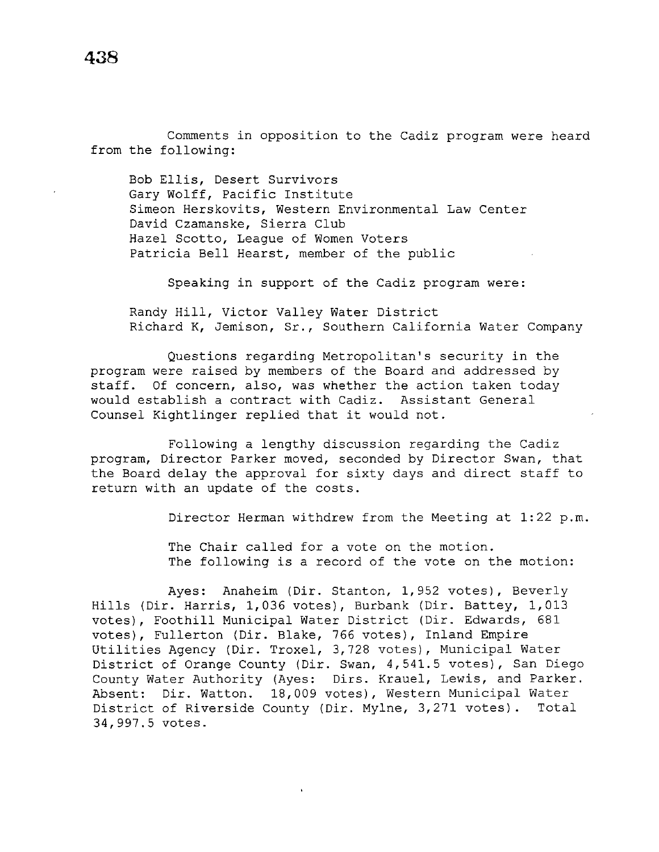Comments in opposition to the Cadiz program were heard from the following:

Bob Ellis, Desert Survivors Gary Wolff, Pacific Institute Simeon Herskovits, Western Environmental Law Center David Czamanske, Sierra Club Hazel Scotto, League of Women Voters Patricia Bell Hearst, member of the public

Speaking in support of the Cadiz program were:

Randy Hill, Victor Valley Water District Richard K, Jemison, Sr., Southern California Water Company

Questions regarding Metropolitan's security in the program were raised by members of the Board and addressed by staff. Of concern, also, was whether the action taken today would establish a contract with Cadiz. Assistant General Counsel Kightlinger replied that it would not.

Following a lengthy discussion regarding the Cadiz program, Director Parker moved, seconded by Director Swan, that the Board delay the approval for sixty days and direct staff to return with an update of the costs.

Director Herman withdrew from the Meeting at 1:22 p.m.

The Chair called for a vote on the motion. The following is a record of the vote on the motion:

Ayes: Anaheim (Dir. Stanton, 1,952 votes), Beverly Hills (Dir. Harris, 1,036 votes), Burbank (Dir. Battey, 1,013 votes), Foothill Municipal Water District (Dir. Edwards, 681 votes), Fullerton (Dir. Blake, 766 votes), Inland Empire Utilities Agency (Dir. Troxel, 3,728 votes), Municipal Water District of Orange County (Dir. Swan, 4,541.5 votes), San Diego County Water Authority (Ayes: Dirs. Krauel, Lewis, and Parker. Absent: Dir. Watton. 18,009 votes), Western Municipal Water District of Riverside County (Dir. Mylne, 3,271 votes). Total 34,997.5 votes.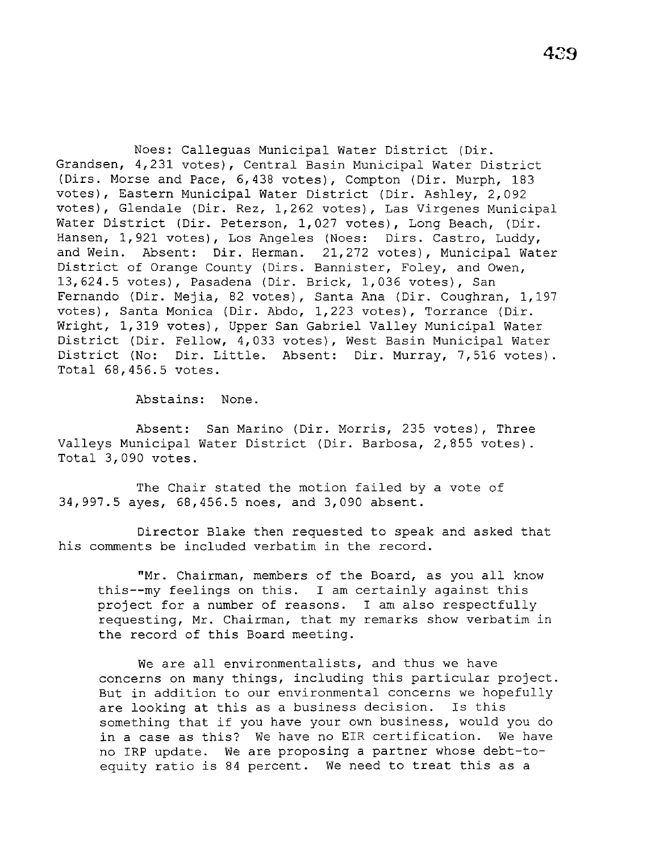Noes: Calleguas Municipal Water District (Dir. Grandsen, 4,231 votes), Central Basin Municipal Water District (Dirs. Morse and Pace, 6,438 votes), Compton (Dir. Murph, 183 votes), Eastern Municipal Water District (Dir. Ashley, 2,092 votes), Glendale (Dir. Rez, 1,262 votes), Las Virgenes Municipal Water District (Dir. Peterson, 1,027 votes), Long Beach, (Dir. Hansen, 1,921 votes), Los Angeles (Noes: Dirs. Castro, Luddy, and Wein. Absent: Dir. Herman. 21,272 votes), Municipal Water District of Orange County (Dirs. Bannister, Foley, and Owen, 13,624.5 votes), Pasadena (Dir. Brick, 1,036 votes), San Fernando (Dir. Mejia, 82 votes), Santa Ana (Dir. Coughran, 1,197 votes), Santa Monica (Dir. Abdo, 1,223 votes), Torrance (Dir. Wright, 1,319 votes), Upper San Gabriel Valley Municipal Water District (Dir. Fellow, 4,033 votes), West Basin Municipal Water District (No: Dir. Little. Absent: Dir. Murray, 7,516 votes). Total 68,456.5 votes.

Abstains: None.

Absent: San Marino (Dir. Morris, 235 votes), Three Valleys Municipal Water District (Dir. Barbosa, 2,855 votes). Total 3,090 votes.

The Chair stated the motion failed by a vote of 34,997.5 ayes, 68,456.5 noes, and 3,090 absent.

Director Blake then requested to speak and asked that his comments be included verbatim in the record.

"Mr. Chairman, members of the Board, as you all know this--my feelings on this. I am certainly against this project for a number of reasons. I am also respectfully requesting, Mr. Chairman, that my remarks show verbatim in the record of this Board meeting.

We are all environmentalists, and thus we have concerns on many things, including this particular project. But in addition to our environmental concerns we hopefully are looking at this as a business decision. Is this something that if you have your own business, would you do in a case as this? We have no EIR certification. We have no IRP update. We are proposing a partner whose debt-toequity ratio is 84 percent. We need to treat this as a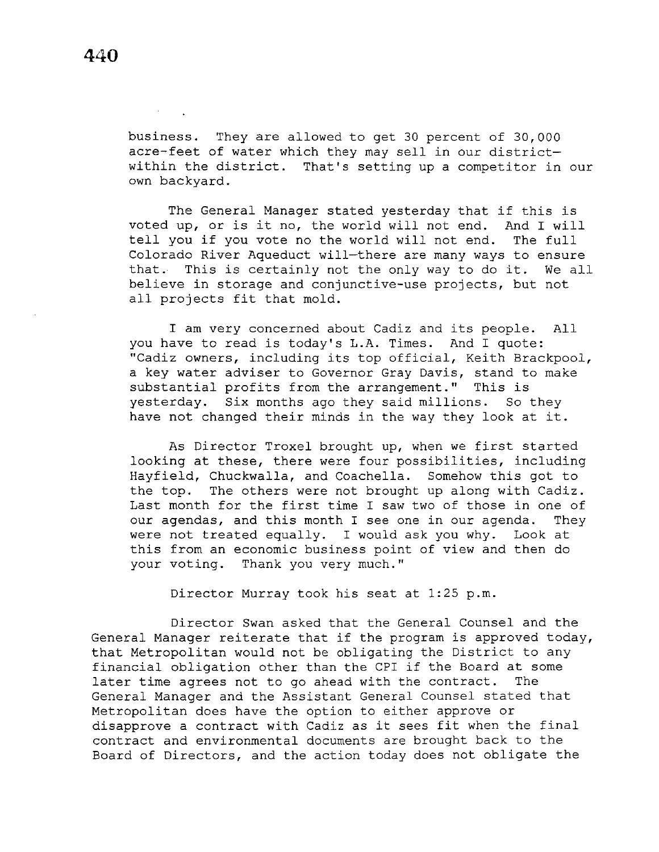business. They are allowed to get 30 percent of 30,000 acre-feet of water which they may sell in our districtwithin the district. That's setting up a competitor in our own backyard.

The General Manager stated yesterday that if this is voted up, or is it no, the world will not end. And I will<br>tell vou if vou vote no the world will not end. The full tell you if you vote no the world will not end. Colorado River Aqueduct will-there are many ways to ensure that. This is certainly not the only way to do it. We all believe in storage and conjunctive-use projects, but not all projects fit that mold.

I am very concerned about Cadiz and its people. All you have to read is today's L.A. Times. And I quote: "Cadiz owners, including its top official, Keith Brackpool, a key water adviser to Governor Gray Davis, stand to make substantial profits from the arrangement." This is yesterday. Six months ago they said millions. So they have not changed their minds in the way they look at it.

As Director Troxel brought up, when we first started looking at these, there were four possibilities, including Hayfield, Chuckwalla, and Coachella. Somehow this got to the top. The others were not brought up along with Cadiz. Last month for the first time I saw two of those in one of our agendas, and this month I see one in our agenda. They were not treated equally. I would ask you why. Look at this from an economic business point of view and then do your voting. Thank you very much."

Director Murray took his seat at 1:25 p.m.

Director Swan asked that the General Counsel and the General Manager reiterate that if the program is approved today, that Metropolitan would not be obligating the District to any financial obligation other than the CPI if the Board at some<br>later time agrees not to go ahead with the contract. The later time agrees not to go ahead with the contract. General Manager and the Assistant General Counsel stated that Metropolitan does have the option to either approve or disapprove a contract with Cadiz as it sees fit when the final contract and environmental documents are brought back to the Board of Directors, and the action today does not obligate the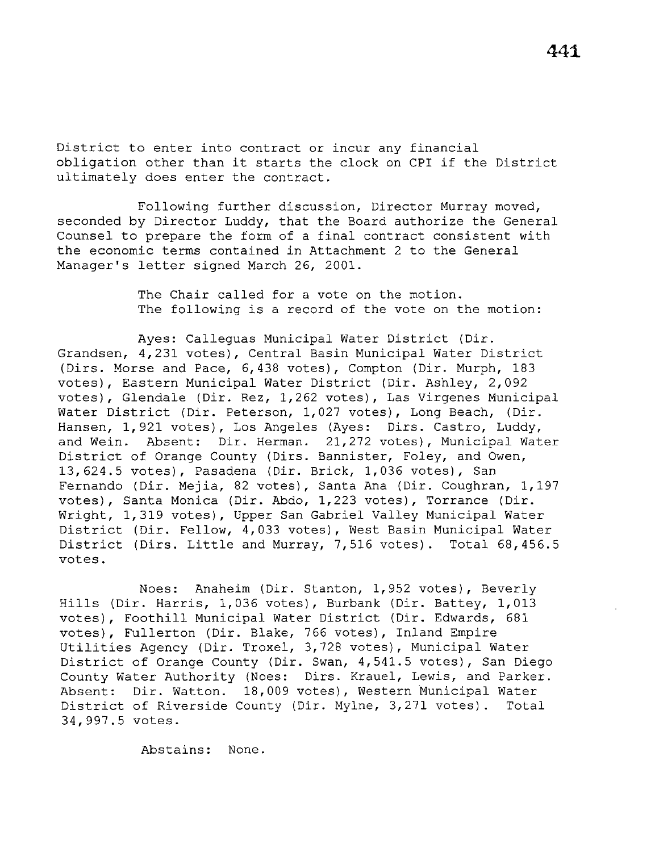District to enter into contract or incur any financial obligation other than it starts the clock on CPI if the District ultimately does enter the contract.

Following further discussion, Director Murray moved, seconded by Director Luddy, that the Board authorize the General Counsel to prepare the form of a final contract consistent with the economic terms contained in Attachment 2 to the General Manager's letter signed March 26, 2001.

> The Chair called for a vote on the motion. The following is a record of the vote on the motion:

Ayes: Calleguas Municipal Water District (Dir. Grandsen, 4,231 votes), Central Basin Municipal Water District (Dirs. Morse and Pace, 6,438 votes), Compton (Dir. Murph, 183 votes), Eastern Municipal Water District (Dir. Ashley, 2,092 votes), Glendale (Dir. Rez, 1,262 votes), Las Virgenes Municipal Water District (Dir. Peterson, 1,027 votes), Long Beach, (Dir. Hansen, 1,921 votes), Los Angeles (Ayes: Dirs. Castro, Luddy, and Wein. Absent: Dir. Herman. 21,272 votes), Municipal Water District of Orange County (Dirs. Bannister, Foley, and Owen, 13,624.5 votes), Pasadena (Dir. Brick, 1,036 votes), San Fernando (Dir. Mejia, 82 votes), Santa Ana (Dir. Coughran, 1,197 votes), Santa Monica (Dir. Abdo, 1,223 votes), Torrance (Dir. Wright, 1,319 votes), Upper San Gabriel Valley Municipal Water District (Dir. Fellow, 4,033 votes), West Basin Municipal Water District (Dirs. Little and Murray, 7,516 votes). Total 68,456.5 votes.

Noes: Anaheim (Dir. Stanton, 1,952 votes), Beverly Hills (Dir. Harris, 1,036 votes), Burbank (Dir. Battey, 1,013 votes), Foothill Municipal Water District (Dir. Edwards, 681 votes), Fullerton (Dir. Blake, 766 votes), Inland Empire Utilities Agency (Dir. Troxel, 3,728 votes), Municipal Water District of Orange County (Dir. Swan, 4,541.5 votes), San Diego County Water Authority (Noes: Dirs. Krauel, Lewis, and Parker. Absent: Dir. Watton. 18,009 votes), Western Municipal Water District of Riverside County (Dir. Mylne, 3,271 votes). Total 34,997.5 votes.

Abstains: None.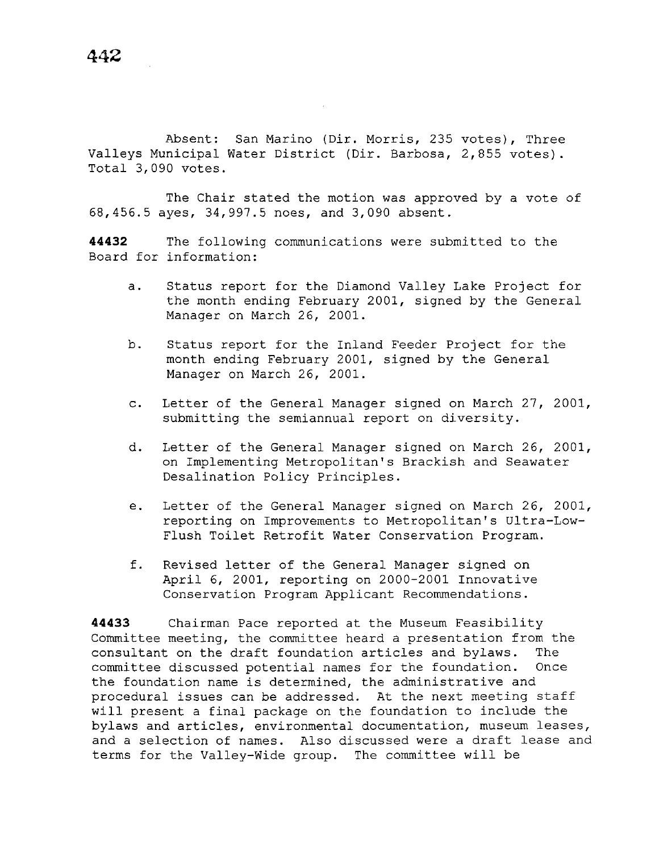Absent: San Marino (Dir. Morris, 235 votes), Three Valleys Municipal Water District (Dir. Barbosa, 2,855 votes). Total 3,090 votes.

The Chair stated the motion was approved by a vote of 68,456.5 ayes, 34,997.5 noes, and 3,090 absent.

**44432** The following communications were submitted to the Board for information:

- a. Status report for the Diamond Valley Lake Project for the month ending February 2001, signed by the General Manager on March 26, 2001.
- b. Status report for the Inland Feeder Project for the month ending February 2001, signed by the General Manager on March 26, 2001.
- c. Letter of the General Manager signed on March 27, 2001, submitting the semiannual report on diversity.
- d. Letter of the General Manager signed on March 26, 2001, on Implementing Metropolitan's Brackish and Seawater Desalination Policy Principles.
- e. Letter of the General Manager signed on March 26, 2001, reporting on Improvements to Metropolitan's Ultra-Low-Flush Toilet Retrofit Water Conservation Program.
- f. Revised letter of the General Manager signed on April 6, 2001, reporting on 2000-2001 Innovative Conservation Program Applicant Recommendations.

**44433** Chairman Pace reported at the Museum Feasibility Committee meeting, the committee heard a presentation from the consultant on the draft foundation articles and bylaws. The committee discussed potential names for the foundation. Once the foundation name is determined, the administrative and procedural issues can be addressed. At the next meeting staff will present a final package on the foundation to include the bylaws and articles, environmental documentation, museum leases, and a selection of names. Also discussed were a draft lease and terms for the Valley-Wide group. The committee will be